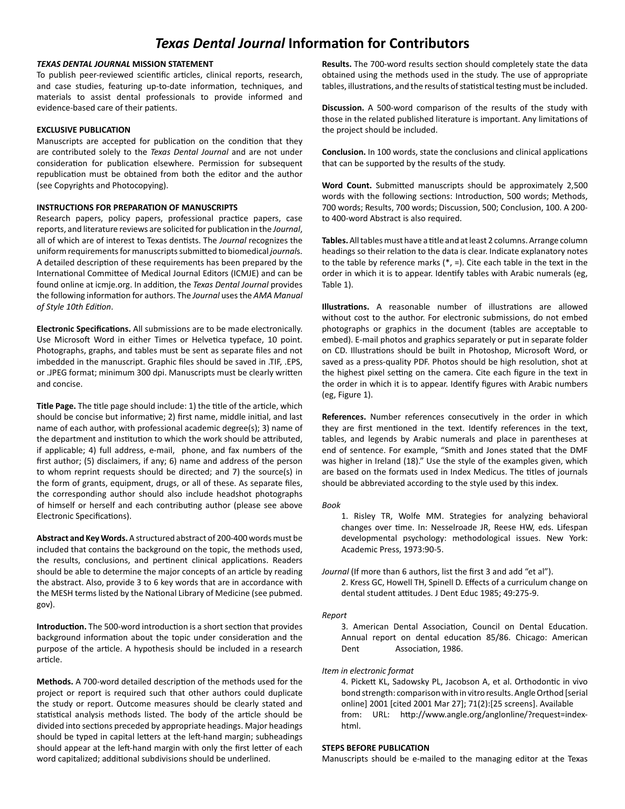# *Texas Dental Journal* **Information for Contributors**

# *TEXAS DENTAL JOURNAL* **MISSION STATEMENT**

To publish peer-reviewed scientific articles, clinical reports, research, and case studies, featuring up-to-date information, techniques, and materials to assist dental professionals to provide informed and evidence-based care of their patients.

# **EXCLUSIVE PUBLICATION**

Manuscripts are accepted for publication on the condition that they are contributed solely to the *Texas Dental Journal* and are not under consideration for publication elsewhere. Permission for subsequent republication must be obtained from both the editor and the author (see Copyrights and Photocopying).

# **INSTRUCTIONS FOR PREPARATION OF MANUSCRIPTS**

Research papers, policy papers, professional practice papers, case reports, and literature reviews are solicited for publication in the *Journal*, all of which are of interest to Texas dentists. The *Journal* recognizes the uniform requirements for manuscripts submitted to biomedical *journal*s. A detailed description of these requirements has been prepared by the International Committee of Medical Journal Editors (ICMJE) and can be found online at icmje.org. In addition, the *Texas Dental Journal* provides the following information for authors. The *Journal* uses the *AMA Manual of Style 10th Edition*.

**Electronic Specifications.** All submissions are to be made electronically. Use Microsoft Word in either Times or Helvetica typeface, 10 point. Photographs, graphs, and tables must be sent as separate files and not imbedded in the manuscript. Graphic files should be saved in .TIF, .EPS, or .JPEG format; minimum 300 dpi. Manuscripts must be clearly written and concise.

**Title Page.** The title page should include: 1) the title of the article, which should be concise but informative; 2) first name, middle initial, and last name of each author, with professional academic degree(s); 3) name of the department and institution to which the work should be attributed, if applicable; 4) full address, e-mail, phone, and fax numbers of the first author; (5) disclaimers, if any; 6) name and address of the person to whom reprint requests should be directed; and 7) the source(s) in the form of grants, equipment, drugs, or all of these. As separate files, the corresponding author should also include headshot photographs of himself or herself and each contributing author (please see above Electronic Specifications).

**Abstract and Key Words.** A structured abstract of 200-400 words must be included that contains the background on the topic, the methods used, the results, conclusions, and pertinent clinical applications. Readers should be able to determine the major concepts of an article by reading the abstract. Also, provide 3 to 6 key words that are in accordance with the MESH terms listed by the National Library of Medicine (see pubmed. gov).

**Introduction.** The 500-word introduction is a short section that provides background information about the topic under consideration and the purpose of the article. A hypothesis should be included in a research article.

**Methods.** A 700-word detailed description of the methods used for the project or report is required such that other authors could duplicate the study or report. Outcome measures should be clearly stated and statistical analysis methods listed. The body of the article should be divided into sections preceded by appropriate headings. Major headings should be typed in capital letters at the left-hand margin; subheadings should appear at the left-hand margin with only the first letter of each word capitalized; additional subdivisions should be underlined.

**Results.** The 700-word results section should completely state the data obtained using the methods used in the study. The use of appropriate tables, illustrations, and the results of statistical testing must be included.

**Discussion.** A 500-word comparison of the results of the study with those in the related published literature is important. Any limitations of the project should be included.

**Conclusion.** In 100 words, state the conclusions and clinical applications that can be supported by the results of the study.

**Word Count.** Submitted manuscripts should be approximately 2,500 words with the following sections: Introduction, 500 words; Methods, 700 words; Results, 700 words; Discussion, 500; Conclusion, 100. A 200 to 400-word Abstract is also required.

**Tables.** All tables must have a title and at least 2 columns. Arrange column headings so their relation to the data is clear. Indicate explanatory notes to the table by reference marks (\*, =). Cite each table in the text in the order in which it is to appear. Identify tables with Arabic numerals (eg, Table 1).

**Illustrations.** A reasonable number of illustrations are allowed without cost to the author. For electronic submissions, do not embed photographs or graphics in the document (tables are acceptable to embed). E-mail photos and graphics separately or put in separate folder on CD. Illustrations should be built in Photoshop, Microsoft Word, or saved as a press-quality PDF. Photos should be high resolution, shot at the highest pixel setting on the camera. Cite each figure in the text in the order in which it is to appear. Identify figures with Arabic numbers (eg, Figure 1).

**References.** Number references consecutively in the order in which they are first mentioned in the text. Identify references in the text, tables, and legends by Arabic numerals and place in parentheses at end of sentence. For example, "Smith and Jones stated that the DMF was higher in Ireland (18)." Use the style of the examples given, which are based on the formats used in Index Medicus. The titles of journals should be abbreviated according to the style used by this index.

*Book*

- 1. Risley TR, Wolfe MM. Strategies for analyzing behavioral changes over time. In: Nesselroade JR, Reese HW, eds. Lifespan developmental psychology: methodological issues. New York: Academic Press, 1973:90-5.
- *Journal* (If more than 6 authors, list the first 3 and add "et al"). 2. Kress GC, Howell TH, Spinell D. Effects of a curriculum change on dental student attitudes. J Dent Educ 1985; 49:275-9.

#### *Report*

3. American Dental Association, Council on Dental Education. Annual report on dental education 85/86. Chicago: American Dent Association, 1986.

*Item in electronic format*

4. Pickett KL, Sadowsky PL, Jacobson A, et al. Orthodontic in vivo bond strength: comparison with in vitro results. Angle Orthod [serial online] 2001 [cited 2001 Mar 27]; 71(2):[25 screens]. Available from: URL: http://www.angle.org/anglonline/?request=indexhtml.

# **STEPS BEFORE PUBLICATION**

Manuscripts should be e-mailed to the managing editor at the Texas